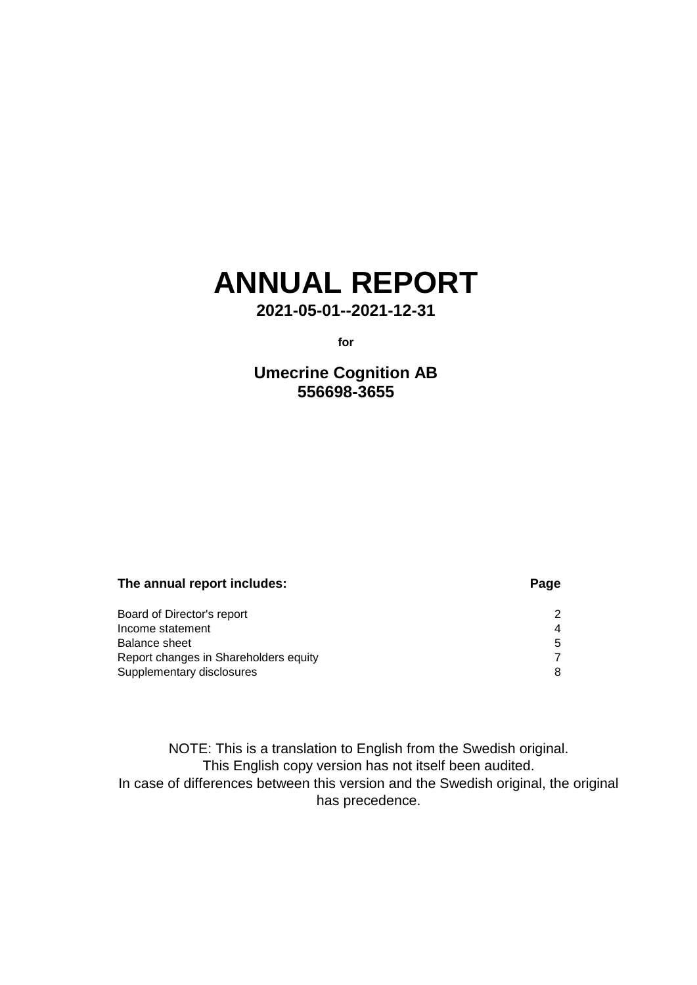# **ANNUAL REPORT**

**2021-05-01--2021-12-31**

**for**

**Umecrine Cognition AB 556698-3655**

### **The annual report includes: Page**

| Board of Director's report            |                  |
|---------------------------------------|------------------|
| Income statement                      | $\boldsymbol{4}$ |
| Balance sheet                         | 5                |
| Report changes in Shareholders equity |                  |
| Supplementary disclosures             |                  |

NOTE: This is a translation to English from the Swedish original. This English copy version has not itself been audited. In case of differences between this version and the Swedish original, the original has precedence.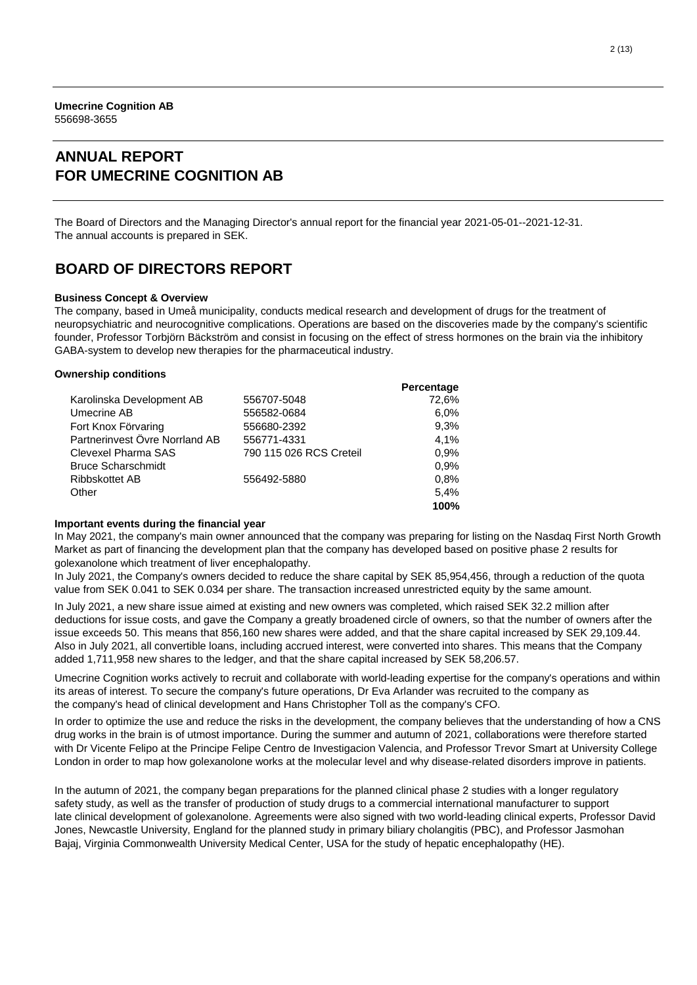### **ANNUAL REPORT FOR UMECRINE COGNITION AB**

The Board of Directors and the Managing Director's annual report for the financial year 2021-05-01--2021-12-31. The annual accounts is prepared in SEK.

### **BOARD OF DIRECTORS REPORT**

#### **Business Concept & Overview**

The company, based in Umeå municipality, conducts medical research and development of drugs for the treatment of neuropsychiatric and neurocognitive complications. Operations are based on the discoveries made by the company's scientific founder, Professor Torbjörn Bäckström and consist in focusing on the effect of stress hormones on the brain via the inhibitory GABA-system to develop new therapies for the pharmaceutical industry.

#### **Ownership conditions**

|                                |                         | Percentage |
|--------------------------------|-------------------------|------------|
| Karolinska Development AB      | 556707-5048             | 72,6%      |
| Umecrine AB                    | 556582-0684             | 6.0%       |
| Fort Knox Förvaring            | 556680-2392             | 9,3%       |
| Partnerinvest Övre Norrland AB | 556771-4331             | 4,1%       |
| Clevexel Pharma SAS            | 790 115 026 RCS Creteil | 0.9%       |
| <b>Bruce Scharschmidt</b>      |                         | 0.9%       |
| Ribbskottet AB                 | 556492-5880             | 0.8%       |
| Other                          |                         | 5,4%       |
|                                |                         | 100%       |
|                                |                         |            |

#### **Important events during the financial year**

In May 2021, the company's main owner announced that the company was preparing for listing on the Nasdaq First North Growth Market as part of financing the development plan that the company has developed based on positive phase 2 results for golexanolone which treatment of liver encephalopathy.

In July 2021, the Company's owners decided to reduce the share capital by SEK 85,954,456, through a reduction of the quota value from SEK 0.041 to SEK 0.034 per share. The transaction increased unrestricted equity by the same amount.

In July 2021, a new share issue aimed at existing and new owners was completed, which raised SEK 32.2 million after deductions for issue costs, and gave the Company a greatly broadened circle of owners, so that the number of owners after the issue exceeds 50. This means that 856,160 new shares were added, and that the share capital increased by SEK 29,109.44. Also in July 2021, all convertible loans, including accrued interest, were converted into shares. This means that the Company added 1,711,958 new shares to the ledger, and that the share capital increased by SEK 58,206.57.

Umecrine Cognition works actively to recruit and collaborate with world-leading expertise for the company's operations and within its areas of interest. To secure the company's future operations, Dr Eva Arlander was recruited to the company as the company's head of clinical development and Hans Christopher Toll as the company's CFO.

In order to optimize the use and reduce the risks in the development, the company believes that the understanding of how a CNS drug works in the brain is of utmost importance. During the summer and autumn of 2021, collaborations were therefore started with Dr Vicente Felipo at the Principe Felipe Centro de Investigacion Valencia, and Professor Trevor Smart at University College London in order to map how golexanolone works at the molecular level and why disease-related disorders improve in patients.

In the autumn of 2021, the company began preparations for the planned clinical phase 2 studies with a longer regulatory safety study, as well as the transfer of production of study drugs to a commercial international manufacturer to support late clinical development of golexanolone. Agreements were also signed with two world-leading clinical experts, Professor David Jones, Newcastle University, England for the planned study in primary biliary cholangitis (PBC), and Professor Jasmohan Bajaj, Virginia Commonwealth University Medical Center, USA for the study of hepatic encephalopathy (HE).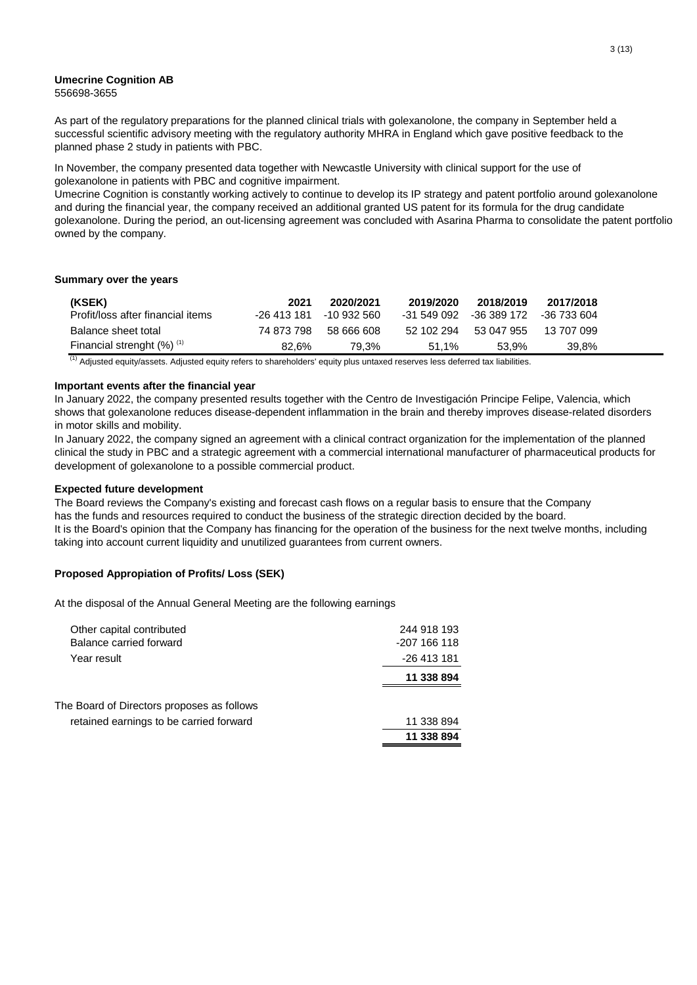#### **Umecrine Cognition AB** 556698-3655

As part of the regulatory preparations for the planned clinical trials with golexanolone, the company in September held a successful scientific advisory meeting with the regulatory authority MHRA in England which gave positive feedback to the planned phase 2 study in patients with PBC.

In November, the company presented data together with Newcastle University with clinical support for the use of golexanolone in patients with PBC and cognitive impairment.

Umecrine Cognition is constantly working actively to continue to develop its IP strategy and patent portfolio around golexanolone and during the financial year, the company received an additional granted US patent for its formula for the drug candidate golexanolone. During the period, an out-licensing agreement was concluded with Asarina Pharma to consolidate the patent portfolio owned by the company.

### **Summary over the years**

| (KSEK)                                   | 2021        | 2020/2021   | 2019/2020   | 2018/2019   | 2017/2018   |
|------------------------------------------|-------------|-------------|-------------|-------------|-------------|
| Profit/loss after financial items        | -26 413 181 | -10 932 560 | -31 549 092 | -36 389 172 | -36 733 604 |
| Balance sheet total                      | 74 873 798  | .58 666 608 | 52 102 294  | 53 047 955  | 13 707 099  |
| Financial strenght $(\%)$ <sup>(1)</sup> | 82.6%       | 79.3%       | 51.1%       | 53.9%       | 39.8%       |

 $<sup>(1)</sup>$  Adjusted equity/assets. Adjusted equity refers to shareholders' equity plus untaxed reserves less deferred tax liabilities.</sup>

#### **Important events after the financial year**

In January 2022, the company presented results together with the Centro de Investigación Principe Felipe, Valencia, which shows that golexanolone reduces disease-dependent inflammation in the brain and thereby improves disease-related disorders in motor skills and mobility.

In January 2022, the company signed an agreement with a clinical contract organization for the implementation of the planned clinical the study in PBC and a strategic agreement with a commercial international manufacturer of pharmaceutical products for development of golexanolone to a possible commercial product.

#### **Expected future development**

The Board reviews the Company's existing and forecast cash flows on a regular basis to ensure that the Company has the funds and resources required to conduct the business of the strategic direction decided by the board. It is the Board's opinion that the Company has financing for the operation of the business for the next twelve months, including taking into account current liquidity and unutilized guarantees from current owners.

### **Proposed Appropiation of Profits/ Loss (SEK)**

At the disposal of the Annual General Meeting are the following earnings

| Other capital contributed                  | 244 918 193  |
|--------------------------------------------|--------------|
| Balance carried forward                    | -207 166 118 |
| Year result                                | -26 413 181  |
|                                            | 11 338 894   |
| The Board of Directors proposes as follows |              |
|                                            |              |
| retained earnings to be carried forward    | 11 338 894   |
|                                            | 11 338 894   |
|                                            |              |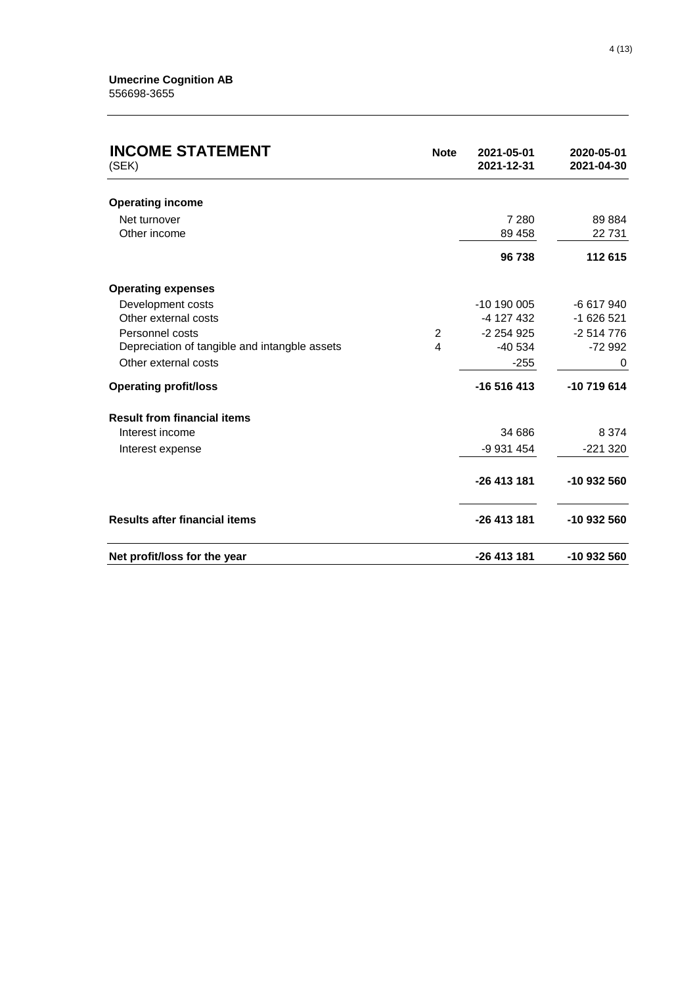| <b>INCOME STATEMENT</b><br>(SEK)              | <b>Note</b>    | 2021-05-01<br>2021-12-31 | 2020-05-01<br>2021-04-30 |
|-----------------------------------------------|----------------|--------------------------|--------------------------|
| <b>Operating income</b>                       |                |                          |                          |
| Net turnover                                  |                | 7 2 8 0                  | 89 884                   |
| Other income                                  |                | 89 458                   | 22731                    |
|                                               |                | 96738                    | 112 615                  |
| <b>Operating expenses</b>                     |                |                          |                          |
| Development costs                             |                | $-10$ 190 005            | -6 617 940               |
| Other external costs                          |                | -4 127 432               | $-1626521$               |
| Personnel costs                               | $\overline{2}$ | $-2254925$               | $-2514776$               |
| Depreciation of tangible and intangble assets | 4              | $-40534$                 | $-72992$                 |
| Other external costs                          |                | $-255$                   | 0                        |
| <b>Operating profit/loss</b>                  |                | $-16516413$              | $-10719614$              |
| <b>Result from financial items</b>            |                |                          |                          |
| Interest income                               |                | 34 686                   | 8 3 7 4                  |
| Interest expense                              |                | -9 931 454               | $-221320$                |
|                                               |                | -26 413 181              | -10 932 560              |
| <b>Results after financial items</b>          |                | -26 413 181              | -10 932 560              |
| Net profit/loss for the year                  |                | -26 413 181              | -10 932 560              |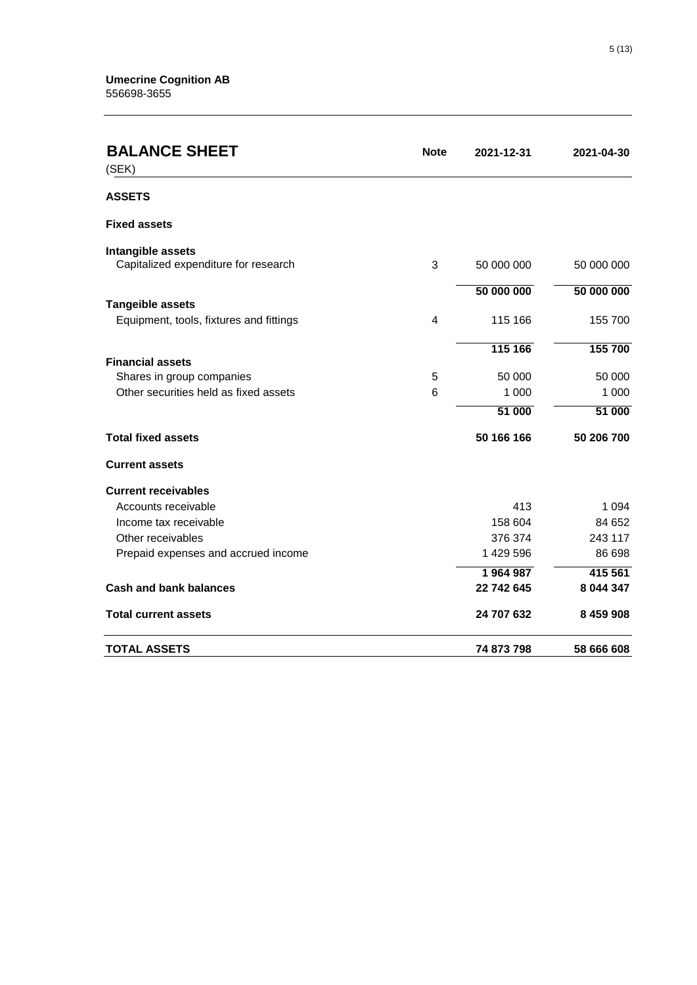| <b>BALANCE SHEET</b><br>(SEK)           | <b>Note</b> | 2021-12-31 | 2021-04-30 |
|-----------------------------------------|-------------|------------|------------|
| <b>ASSETS</b>                           |             |            |            |
| <b>Fixed assets</b>                     |             |            |            |
| Intangible assets                       |             |            |            |
| Capitalized expenditure for research    | 3           | 50 000 000 | 50 000 000 |
|                                         |             | 50 000 000 | 50 000 000 |
| <b>Tangeible assets</b>                 |             |            |            |
| Equipment, tools, fixtures and fittings | 4           | 115 166    | 155 700    |
|                                         |             | 115 166    | 155 700    |
| <b>Financial assets</b>                 |             |            |            |
| Shares in group companies               | 5           | 50 000     | 50 000     |
| Other securities held as fixed assets   | 6           | 1 0 0 0    | 1 0 0 0    |
|                                         |             | 51 000     | 51 000     |
| <b>Total fixed assets</b>               |             | 50 166 166 | 50 206 700 |
| <b>Current assets</b>                   |             |            |            |
| <b>Current receivables</b>              |             |            |            |
| Accounts receivable                     |             | 413        | 1 0 9 4    |
| Income tax receivable                   |             | 158 604    | 84 652     |
| Other receivables                       |             | 376 374    | 243 117    |
| Prepaid expenses and accrued income     |             | 1 429 596  | 86 698     |
|                                         |             | 1964987    | 415 561    |
| <b>Cash and bank balances</b>           |             | 22 742 645 | 8 044 347  |
| <b>Total current assets</b>             |             | 24 707 632 | 8 459 908  |
| <b>TOTAL ASSETS</b>                     |             | 74 873 798 | 58 666 608 |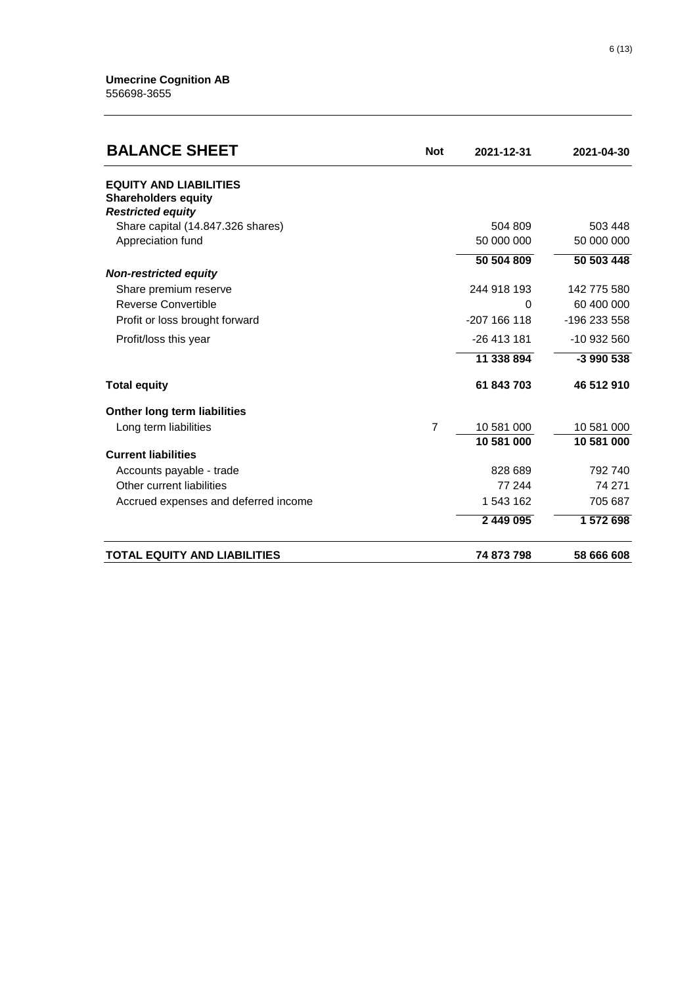| <b>BALANCE SHEET</b>                 | <b>Not</b>     | 2021-12-31            | 2021-04-30            |
|--------------------------------------|----------------|-----------------------|-----------------------|
| <b>EQUITY AND LIABILITIES</b>        |                |                       |                       |
| <b>Shareholders equity</b>           |                |                       |                       |
| <b>Restricted equity</b>             |                |                       |                       |
| Share capital (14.847.326 shares)    |                | 504 809<br>50 000 000 | 503 448<br>50 000 000 |
| Appreciation fund                    |                |                       |                       |
|                                      |                | 50 504 809            | 50 503 448            |
| <b>Non-restricted equity</b>         |                |                       |                       |
| Share premium reserve                |                | 244 918 193           | 142 775 580           |
| Reverse Convertible                  |                | $\Omega$              | 60 400 000            |
| Profit or loss brought forward       |                | $-207$ 166 118        | -196 233 558          |
| Profit/loss this year                |                | $-26413181$           | -10 932 560           |
|                                      |                | 11 338 894            | $-3$ 990 538          |
| <b>Total equity</b>                  |                | 61 843 703            | 46 512 910            |
| <b>Onther long term liabilities</b>  |                |                       |                       |
| Long term liabilities                | $\overline{7}$ | 10 581 000            | 10 581 000            |
|                                      |                | 10 581 000            | 10 581 000            |
| <b>Current liabilities</b>           |                |                       |                       |
| Accounts payable - trade             |                | 828 689               | 792 740               |
| Other current liabilities            |                | 77 244                | 74 271                |
| Accrued expenses and deferred income |                | 1 543 162             | 705 687               |
|                                      |                | 2 449 095             | 1 572 698             |
| <b>TOTAL EQUITY AND LIABILITIES</b>  |                | 74 873 798            | 58 666 608            |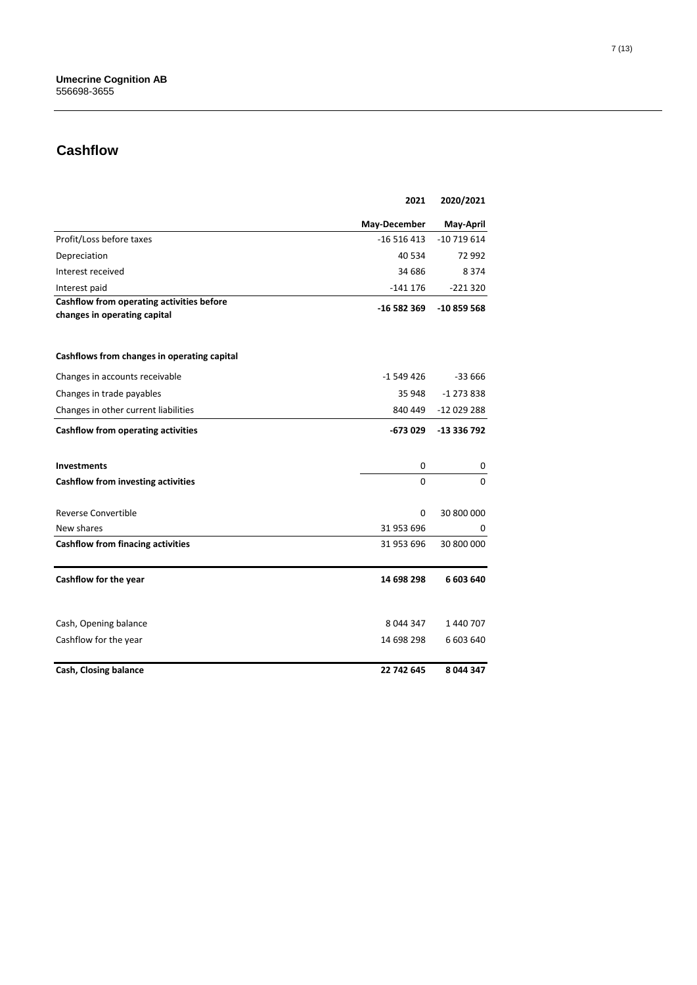## **Cashflow**

|                                                                           | 2021         | 2020/2021   |
|---------------------------------------------------------------------------|--------------|-------------|
|                                                                           | May-December | May-April   |
| Profit/Loss before taxes                                                  | $-16516413$  | $-10719614$ |
| Depreciation                                                              | 40 534       | 72 992      |
| Interest received                                                         | 34 686       | 8 3 7 4     |
| Interest paid                                                             | $-141176$    | $-221320$   |
| Cashflow from operating activities before<br>changes in operating capital | -16 582 369  | $-10859568$ |
| Cashflows from changes in operating capital                               |              |             |
| Changes in accounts receivable                                            | -1 549 426   | -33 666     |
| Changes in trade payables                                                 | 35 948       | -1 273 838  |
| Changes in other current liabilities                                      | 840 449      | -12 029 288 |
| Cashflow from operating activities                                        | -673 029     | -13 336 792 |
| <b>Investments</b>                                                        | 0            | 0           |
| Cashflow from investing activities                                        | 0            | 0           |
| <b>Reverse Convertible</b>                                                | 0            | 30 800 000  |
| New shares                                                                | 31 953 696   | 0           |
| <b>Cashflow from finacing activities</b>                                  | 31 953 696   | 30 800 000  |
| Cashflow for the year                                                     | 14 698 298   | 6 603 640   |
| Cash, Opening balance                                                     | 8 044 347    | 1 440 707   |
| Cashflow for the year                                                     | 14 698 298   | 6 603 640   |
| Cash, Closing balance                                                     | 22 742 645   | 8 044 347   |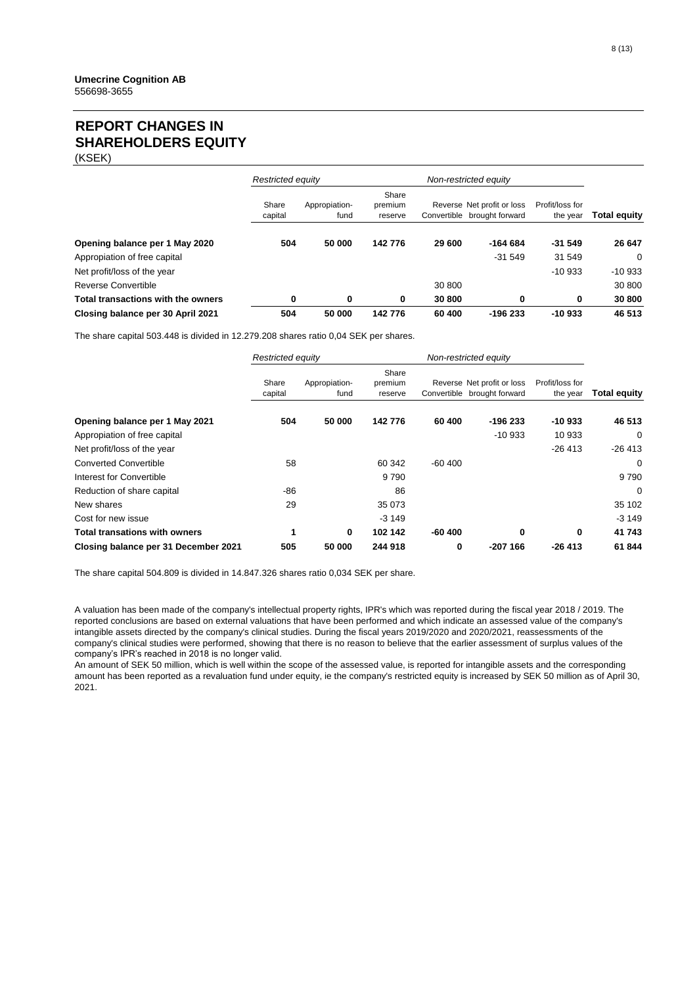### **REPORT CHANGES IN SHAREHOLDERS EQUITY**

(KSEK)

|                                    | Restricted equity |                       | Non-restricted equity       |        |                                                           |                             |                     |  |
|------------------------------------|-------------------|-----------------------|-----------------------------|--------|-----------------------------------------------------------|-----------------------------|---------------------|--|
|                                    | Share<br>capital  | Appropiation-<br>fund | Share<br>premium<br>reserve |        | Reverse Net profit or loss<br>Convertible brought forward | Profit/loss for<br>the year | <b>Total equity</b> |  |
| Opening balance per 1 May 2020     | 504               | 50 000                | 142776                      | 29 600 | $-164684$                                                 | $-31.549$                   | 26 647              |  |
| Appropiation of free capital       |                   |                       |                             |        | $-31.549$                                                 | 31 549                      | $\Omega$            |  |
| Net profit/loss of the year        |                   |                       |                             |        |                                                           | $-10933$                    | $-10933$            |  |
| Reverse Convertible                |                   |                       |                             | 30 800 |                                                           |                             | 30 800              |  |
| Total transactions with the owners | 0                 | 0                     | 0                           | 30 800 | 0                                                         | 0                           | 30 800              |  |
| Closing balance per 30 April 2021  | 504               | 50 000                | 142776                      | 60 400 | $-196233$                                                 | $-10933$                    | 46 513              |  |

The share capital 503.448 is divided in 12.279.208 shares ratio 0,04 SEK per shares.

|                                      | <b>Restricted equity</b> |                       | Non-restricted equity       |          |                                                           |                             |                     |
|--------------------------------------|--------------------------|-----------------------|-----------------------------|----------|-----------------------------------------------------------|-----------------------------|---------------------|
|                                      | Share<br>capital         | Appropiation-<br>fund | Share<br>premium<br>reserve |          | Reverse Net profit or loss<br>Convertible brought forward | Profit/loss for<br>the year | <b>Total equity</b> |
| Opening balance per 1 May 2021       | 504                      | 50 000                | 142776                      | 60 400   | -196 233                                                  | $-10933$                    | 46 513              |
| Appropiation of free capital         |                          |                       |                             |          | $-10933$                                                  | 10 933                      | 0                   |
| Net profit/loss of the year          |                          |                       |                             |          |                                                           | $-26413$                    | $-26413$            |
| <b>Converted Convertible</b>         | 58                       |                       | 60 342                      | $-60400$ |                                                           |                             | 0                   |
| Interest for Convertible             |                          |                       | 9790                        |          |                                                           |                             | 9790                |
| Reduction of share capital           | -86                      |                       | 86                          |          |                                                           |                             | $\Omega$            |
| New shares                           | 29                       |                       | 35 073                      |          |                                                           |                             | 35 102              |
| Cost for new issue                   |                          |                       | $-3149$                     |          |                                                           |                             | $-3149$             |
| Total transations with owners        | 1                        | 0                     | 102 142                     | $-60400$ | 0                                                         | 0                           | 41 743              |
| Closing balance per 31 December 2021 | 505                      | 50 000                | 244 918                     | 0        | $-207166$                                                 | $-26413$                    | 61 844              |

The share capital 504.809 is divided in 14.847.326 shares ratio 0,034 SEK per share.

A valuation has been made of the company's intellectual property rights, IPR's which was reported during the fiscal year 2018 / 2019. The reported conclusions are based on external valuations that have been performed and which indicate an assessed value of the company's intangible assets directed by the company's clinical studies. During the fiscal years 2019/2020 and 2020/2021, reassessments of the company's clinical studies were performed, showing that there is no reason to believe that the earlier assessment of surplus values of the company's IPR's reached in 2018 is no longer valid.

An amount of SEK 50 million, which is well within the scope of the assessed value, is reported for intangible assets and the corresponding amount has been reported as a revaluation fund under equity, ie the company's restricted equity is increased by SEK 50 million as of April 30, 2021.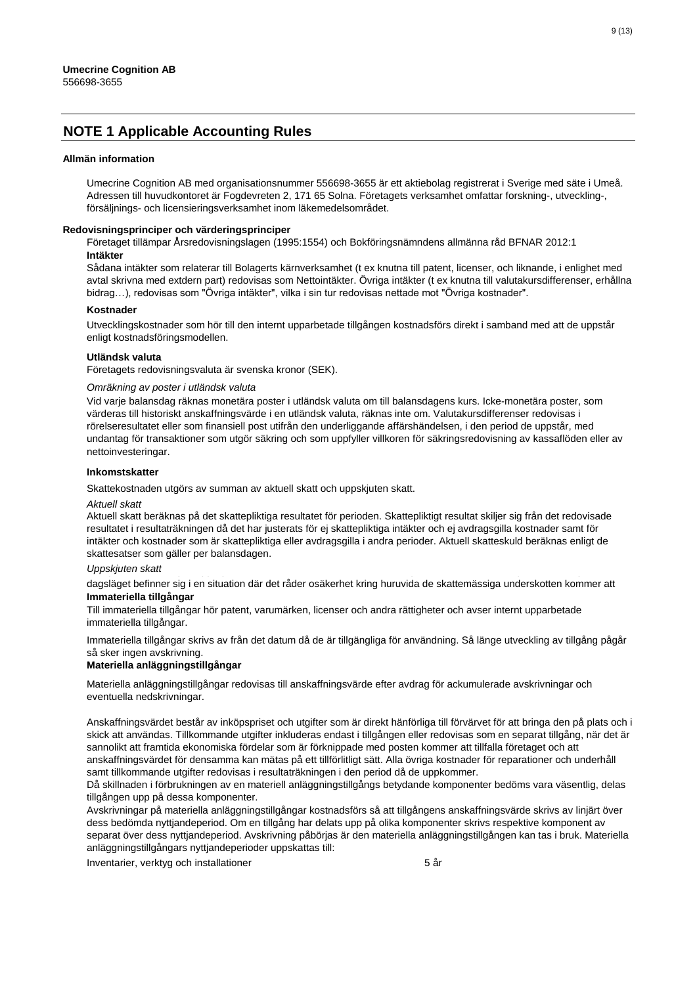### **NOTE 1 Applicable Accounting Rules**

#### **Allmän information**

Umecrine Cognition AB med organisationsnummer 556698-3655 är ett aktiebolag registrerat i Sverige med säte i Umeå. Adressen till huvudkontoret är Fogdevreten 2, 171 65 Solna. Företagets verksamhet omfattar forskning-, utveckling-, försäljnings- och licensieringsverksamhet inom läkemedelsområdet.

#### **Redovisningsprinciper och värderingsprinciper**

Företaget tillämpar Årsredovisningslagen (1995:1554) och Bokföringsnämndens allmänna råd BFNAR 2012:1 **Intäkter**

Sådana intäkter som relaterar till Bolagerts kärnverksamhet (t ex knutna till patent, licenser, och liknande, i enlighet med avtal skrivna med extdern part) redovisas som Nettointäkter. Övriga intäkter (t ex knutna till valutakursdifferenser, erhållna bidrag…), redovisas som "Övriga intäkter", vilka i sin tur redovisas nettade mot "Övriga kostnader".

#### **Kostnader**

Utvecklingskostnader som hör till den internt upparbetade tillgången kostnadsförs direkt i samband med att de uppstår enligt kostnadsföringsmodellen.

#### **Utländsk valuta**

Företagets redovisningsvaluta är svenska kronor (SEK).

#### *Omräkning av poster i utländsk valuta*

Vid varje balansdag räknas monetära poster i utländsk valuta om till balansdagens kurs. Icke-monetära poster, som värderas till historiskt anskaffningsvärde i en utländsk valuta, räknas inte om. Valutakursdifferenser redovisas i rörelseresultatet eller som finansiell post utifrån den underliggande affärshändelsen, i den period de uppstår, med undantag för transaktioner som utgör säkring och som uppfyller villkoren för säkringsredovisning av kassaflöden eller av nettoinvesteringar.

#### **Inkomstskatter**

Skattekostnaden utgörs av summan av aktuell skatt och uppskjuten skatt.

#### *Aktuell skatt*

Aktuell skatt beräknas på det skattepliktiga resultatet för perioden. Skattepliktigt resultat skiljer sig från det redovisade resultatet i resultaträkningen då det har justerats för ej skattepliktiga intäkter och ej avdragsgilla kostnader samt för intäkter och kostnader som är skattepliktiga eller avdragsgilla i andra perioder. Aktuell skatteskuld beräknas enligt de skattesatser som gäller per balansdagen.

#### **Uppskjuten skatt**

**Immateriella tillgångar**  dagsläget befinner sig i en situation där det råder osäkerhet kring huruvida de skattemässiga underskotten kommer att

Till immateriella tillgångar hör patent, varumärken, licenser och andra rättigheter och avser internt upparbetade immateriella tillgångar.

Immateriella tillgångar skrivs av från det datum då de är tillgängliga för användning. Så länge utveckling av tillgång pågår så sker ingen avskrivning.

#### **Materiella anläggningstillgångar**

Materiella anläggningstillgångar redovisas till anskaffningsvärde efter avdrag för ackumulerade avskrivningar och eventuella nedskrivningar.

Anskaffningsvärdet består av inköpspriset och utgifter som är direkt hänförliga till förvärvet för att bringa den på plats och i skick att användas. Tillkommande utgifter inkluderas endast i tillgången eller redovisas som en separat tillgång, när det är sannolikt att framtida ekonomiska fördelar som är förknippade med posten kommer att tillfalla företaget och att anskaffningsvärdet för densamma kan mätas på ett tillförlitligt sätt. Alla övriga kostnader för reparationer och underhåll samt tillkommande utgifter redovisas i resultaträkningen i den period då de uppkommer.

Då skillnaden i förbrukningen av en materiell anläggningstillgångs betydande komponenter bedöms vara väsentlig, delas tillgången upp på dessa komponenter.

Avskrivningar på materiella anläggningstillgångar kostnadsförs så att tillgångens anskaffningsvärde skrivs av linjärt över dess bedömda nyttjandeperiod. Om en tillgång har delats upp på olika komponenter skrivs respektive komponent av separat över dess nyttjandeperiod. Avskrivning påbörjas är den materiella anläggningstillgången kan tas i bruk. Materiella anläggningstillgångars nyttjandeperioder uppskattas till:

Inventarier, verktyg och installationer 5 år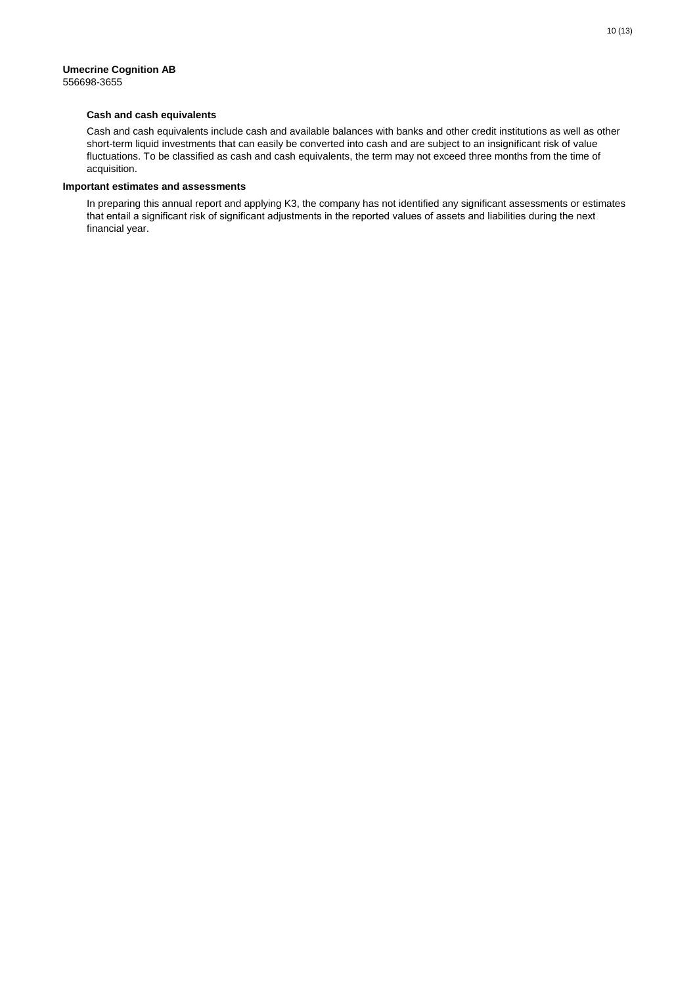#### **Cash and cash equivalents**

Cash and cash equivalents include cash and available balances with banks and other credit institutions as well as other short-term liquid investments that can easily be converted into cash and are subject to an insignificant risk of value fluctuations. To be classified as cash and cash equivalents, the term may not exceed three months from the time of acquisition.

#### **Important estimates and assessments**

In preparing this annual report and applying K3, the company has not identified any significant assessments or estimates that entail a significant risk of significant adjustments in the reported values of assets and liabilities during the next financial year.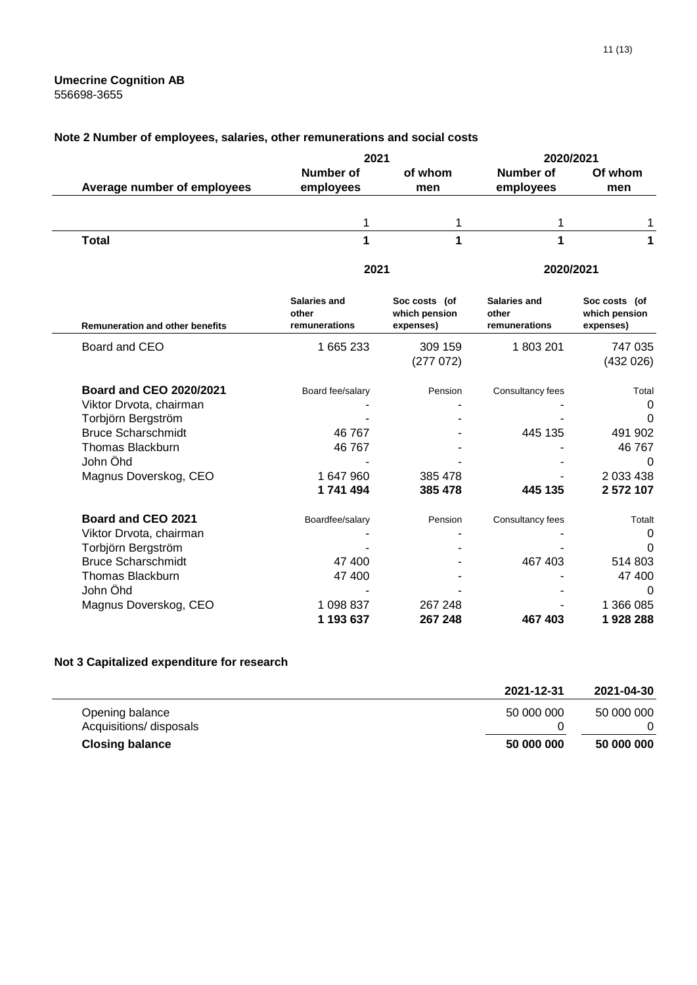### **Note 2 Number of employees, salaries, other remunerations and social costs**

|                                        | 2021                                   |                                             | 2020/2021                              |                                             |  |
|----------------------------------------|----------------------------------------|---------------------------------------------|----------------------------------------|---------------------------------------------|--|
|                                        | Number of                              | of whom                                     | Number of                              | Of whom                                     |  |
| Average number of employees            | employees                              | men                                         | employees                              | men                                         |  |
|                                        | 1                                      | 1                                           |                                        | 1                                           |  |
| <b>Total</b>                           | 1                                      | 1                                           | 1                                      | 1                                           |  |
|                                        | 2021                                   |                                             | 2020/2021                              |                                             |  |
| <b>Remuneration and other benefits</b> | Salaries and<br>other<br>remunerations | Soc costs (of<br>which pension<br>expenses) | Salaries and<br>other<br>remunerations | Soc costs (of<br>which pension<br>expenses) |  |
| Board and CEO                          | 1 665 233                              | 309 159<br>(277072)                         | 1803201                                | 747 035<br>(432 026)                        |  |
| <b>Board and CEO 2020/2021</b>         | Board fee/salary                       | Pension                                     | Consultancy fees                       | Total                                       |  |
| Viktor Drvota, chairman                |                                        |                                             |                                        | 0                                           |  |
| Torbjörn Bergström                     |                                        |                                             |                                        | 0                                           |  |
| <b>Bruce Scharschmidt</b>              | 46 767                                 |                                             | 445 135                                | 491 902                                     |  |
| <b>Thomas Blackburn</b>                | 46 767                                 |                                             |                                        | 46767                                       |  |
| John Öhd                               |                                        |                                             |                                        | 0                                           |  |
| Magnus Doverskog, CEO                  | 1 647 960                              | 385 478                                     |                                        | 2 033 438                                   |  |
|                                        | 1741494                                | 385 478                                     | 445 135                                | 2 572 107                                   |  |
| Board and CEO 2021                     | Boardfee/salary                        | Pension                                     | Consultancy fees                       | Totalt                                      |  |
| Viktor Drvota, chairman                |                                        |                                             |                                        | 0                                           |  |
| Torbjörn Bergström                     |                                        |                                             |                                        | 0                                           |  |
| <b>Bruce Scharschmidt</b>              | 47 400                                 |                                             | 467 403                                | 514 803                                     |  |
| <b>Thomas Blackburn</b>                | 47 400                                 |                                             |                                        | 47 400                                      |  |
| John Öhd                               |                                        |                                             |                                        | $\Omega$                                    |  |
| Magnus Doverskog, CEO                  | 1 098 837                              | 267 248                                     |                                        | 1 366 085                                   |  |
|                                        | 1 193 637                              | 267 248                                     | 467 403                                | 1928288                                     |  |

### **Not 3 Capitalized expenditure for research**

|                         | 2021-12-31 | 2021-04-30 |
|-------------------------|------------|------------|
| Opening balance         | 50 000 000 | 50 000 000 |
| Acquisitions/ disposals |            |            |
| <b>Closing balance</b>  | 50 000 000 | 50 000 000 |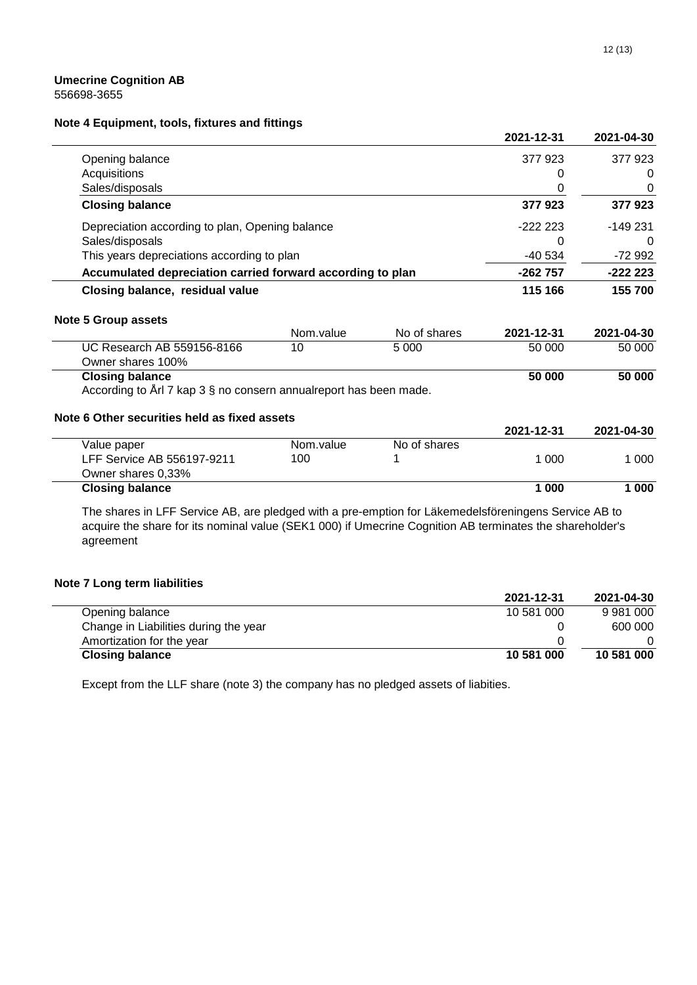### **Note 4 Equipment, tools, fixtures and fittings**

|                                                                   |           |              | 2021-12-31 | 2021-04-30 |
|-------------------------------------------------------------------|-----------|--------------|------------|------------|
| Opening balance                                                   |           |              | 377 923    | 377 923    |
| Acquisitions                                                      |           |              | 0          | 0          |
| Sales/disposals                                                   |           |              | 0          | 0          |
| <b>Closing balance</b>                                            |           |              | 377923     | 377923     |
| Depreciation according to plan, Opening balance                   |           |              | $-222223$  | $-149231$  |
| Sales/disposals                                                   |           |              | 0          | $\Omega$   |
| This years depreciations according to plan                        |           |              | -40 534    | -72 992    |
| Accumulated depreciation carried forward according to plan        |           |              | $-262757$  | $-222223$  |
| Closing balance, residual value                                   |           |              | 115 166    | 155 700    |
| <b>Note 5 Group assets</b>                                        |           |              |            |            |
|                                                                   | Nom.value | No of shares | 2021-12-31 | 2021-04-30 |
| UC Research AB 559156-8166<br>Owner shares 100%                   | 10        | 5 0 0 0      | 50 000     | 50 000     |
| <b>Closing balance</b>                                            |           |              | 50 000     | 50 000     |
| According to Arl 7 kap 3 § no consern annualreport has been made. |           |              |            |            |
| Note 6 Other securities held as fixed assets                      |           |              |            |            |
|                                                                   |           |              | 2021-12-31 | 2021-04-30 |
| Value paper                                                       | Nom.value | No of shares |            |            |
|                                                                   |           |              |            |            |
| LFF Service AB 556197-9211                                        | 100       |              | 1 0 0 0    | 1 000      |
| Owner shares 0,33%                                                |           |              | 1 000      |            |

The shares in LFF Service AB, are pledged with a pre-emption for Läkemedelsföreningens Service AB to acquire the share for its nominal value (SEK1 000) if Umecrine Cognition AB terminates the shareholder's agreement

### **Note 7 Long term liabilities**

| = = -                                 |            |            |
|---------------------------------------|------------|------------|
|                                       | 2021-12-31 | 2021-04-30 |
| Opening balance                       | 10 581 000 | 9 981 000  |
| Change in Liabilities during the year |            | 600 000    |
| Amortization for the year             |            |            |
| <b>Closing balance</b>                | 10 581 000 | 10 581 000 |
|                                       |            |            |

Except from the LLF share (note 3) the company has no pledged assets of liabities.